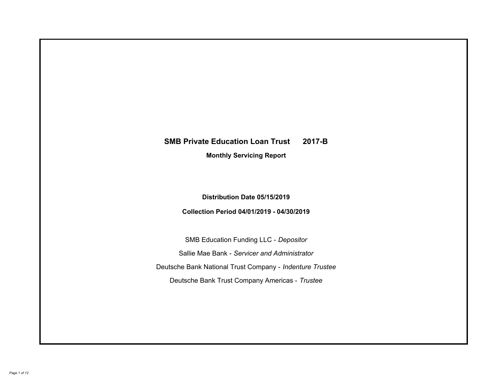# **SMB Private Education Loan Trust 2017-B Monthly Servicing Report**

## **Distribution Date 05/15/2019**

## **Collection Period 04/01/2019 - 04/30/2019**

SMB Education Funding LLC - *Depositor* Sallie Mae Bank - *Servicer and Administrator* Deutsche Bank National Trust Company - *Indenture Trustee* Deutsche Bank Trust Company Americas - *Trustee*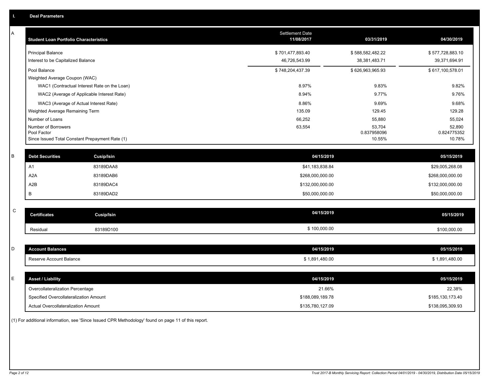| Α           | <b>Student Loan Portfolio Characteristics</b>   |                   | <b>Settlement Date</b><br>11/08/2017 | 03/31/2019            | 04/30/2019            |
|-------------|-------------------------------------------------|-------------------|--------------------------------------|-----------------------|-----------------------|
|             | <b>Principal Balance</b>                        |                   | \$701,477,893.40                     | \$588,582,482.22      | \$577,728,883.10      |
|             | Interest to be Capitalized Balance              |                   | 46,726,543.99                        | 38,381,483.71         | 39,371,694.91         |
|             | Pool Balance                                    |                   | \$748,204,437.39                     | \$626,963,965.93      | \$617,100,578.01      |
|             | Weighted Average Coupon (WAC)                   |                   |                                      |                       |                       |
|             | WAC1 (Contractual Interest Rate on the Loan)    |                   | 8.97%                                | 9.83%                 | 9.82%                 |
|             | WAC2 (Average of Applicable Interest Rate)      |                   | 8.94%                                | 9.77%                 | 9.76%                 |
|             | WAC3 (Average of Actual Interest Rate)          |                   | 8.86%                                | 9.69%                 | 9.68%                 |
|             | Weighted Average Remaining Term                 |                   | 135.09                               | 129.45                | 129.28                |
|             | Number of Loans                                 |                   | 66,252                               | 55,880                | 55,024                |
|             | Number of Borrowers<br>Pool Factor              |                   | 63,554                               | 53,704<br>0.837958096 | 52,890<br>0.824775352 |
|             | Since Issued Total Constant Prepayment Rate (1) |                   |                                      | 10.55%                | 10.78%                |
|             |                                                 |                   |                                      |                       |                       |
| B           | <b>Debt Securities</b>                          | Cusip/Isin        | 04/15/2019                           |                       | 05/15/2019            |
|             | A1                                              | 83189DAA8         | \$41,183,838.84                      |                       | \$29,005,268.08       |
|             | A <sub>2</sub> A                                | 83189DAB6         | \$268,000,000.00                     |                       | \$268,000,000.00      |
|             | A2B                                             | 83189DAC4         | \$132,000,000.00                     |                       | \$132,000,000.00      |
|             | B                                               | 83189DAD2         | \$50,000,000.00                      |                       | \$50,000,000.00       |
|             |                                                 |                   |                                      |                       |                       |
| $\mathsf C$ | <b>Certificates</b>                             | <b>Cusip/Isin</b> | 04/15/2019                           |                       | 05/15/2019            |
|             | Residual                                        | 83189D100         | \$100,000.00                         |                       | \$100,000.00          |
|             |                                                 |                   |                                      |                       |                       |
| D           | <b>Account Balances</b>                         |                   | 04/15/2019                           |                       | 05/15/2019            |
|             | Reserve Account Balance                         |                   | \$1,891,480.00                       |                       | \$1,891,480.00        |
|             |                                                 |                   |                                      |                       |                       |
| Е           | <b>Asset / Liability</b>                        |                   | 04/15/2019                           |                       | 05/15/2019            |
|             | Overcollateralization Percentage                |                   | 21.66%                               |                       | 22.38%                |
|             | Specified Overcollateralization Amount          |                   | \$188,089,189.78                     |                       | \$185,130,173.40      |
|             | Actual Overcollateralization Amount             |                   | \$135,780,127.09                     |                       | \$138,095,309.93      |

(1) For additional information, see 'Since Issued CPR Methodology' found on page 11 of this report.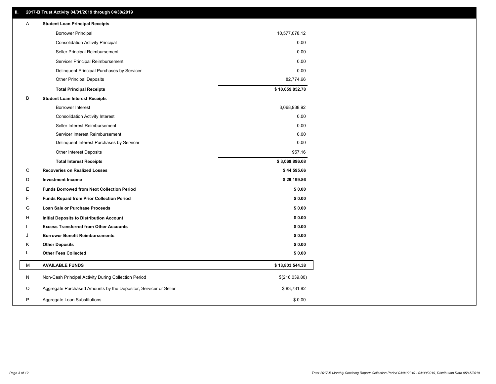### **II. 2017-B Trust Activity 04/01/2019 through 04/30/2019**

| Α | <b>Student Loan Principal Receipts</b>                           |                 |
|---|------------------------------------------------------------------|-----------------|
|   | <b>Borrower Principal</b>                                        | 10,577,078.12   |
|   | <b>Consolidation Activity Principal</b>                          | 0.00            |
|   | Seller Principal Reimbursement                                   | 0.00            |
|   | Servicer Principal Reimbursement                                 | 0.00            |
|   | Delinquent Principal Purchases by Servicer                       | 0.00            |
|   | <b>Other Principal Deposits</b>                                  | 82,774.66       |
|   | <b>Total Principal Receipts</b>                                  | \$10,659,852.78 |
| В | <b>Student Loan Interest Receipts</b>                            |                 |
|   | <b>Borrower Interest</b>                                         | 3,068,938.92    |
|   | <b>Consolidation Activity Interest</b>                           | 0.00            |
|   | Seller Interest Reimbursement                                    | 0.00            |
|   | Servicer Interest Reimbursement                                  | 0.00            |
|   | Delinquent Interest Purchases by Servicer                        | 0.00            |
|   | <b>Other Interest Deposits</b>                                   | 957.16          |
|   | <b>Total Interest Receipts</b>                                   | \$3,069,896.08  |
| С | <b>Recoveries on Realized Losses</b>                             | \$44,595.66     |
| D | <b>Investment Income</b>                                         | \$29,199.86     |
| Е | <b>Funds Borrowed from Next Collection Period</b>                | \$0.00          |
| F | <b>Funds Repaid from Prior Collection Period</b>                 | \$0.00          |
| G | <b>Loan Sale or Purchase Proceeds</b>                            | \$0.00          |
| н | <b>Initial Deposits to Distribution Account</b>                  | \$0.00          |
|   | <b>Excess Transferred from Other Accounts</b>                    | \$0.00          |
| J | <b>Borrower Benefit Reimbursements</b>                           | \$0.00          |
| Κ | <b>Other Deposits</b>                                            | \$0.00          |
| L | <b>Other Fees Collected</b>                                      | \$0.00          |
| M | <b>AVAILABLE FUNDS</b>                                           | \$13,803,544.38 |
| N | Non-Cash Principal Activity During Collection Period             | \$(216,039.80)  |
| O | Aggregate Purchased Amounts by the Depositor, Servicer or Seller | \$83,731.82     |
| P | Aggregate Loan Substitutions                                     | \$0.00          |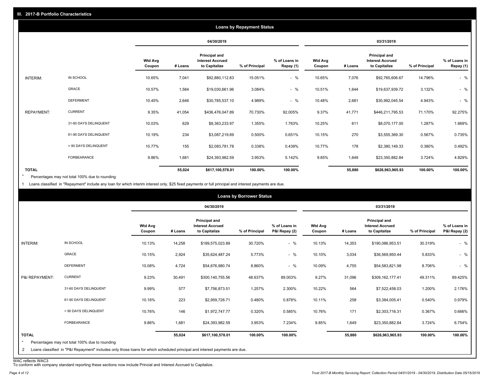|                   |                       |                          |         |                                                           | <b>Loans by Repayment Status</b> |                            |                          |         |                                                           |                |                            |
|-------------------|-----------------------|--------------------------|---------|-----------------------------------------------------------|----------------------------------|----------------------------|--------------------------|---------|-----------------------------------------------------------|----------------|----------------------------|
|                   |                       |                          |         | 04/30/2019                                                |                                  |                            |                          |         | 03/31/2019                                                |                |                            |
|                   |                       | <b>Wtd Avg</b><br>Coupon | # Loans | Principal and<br><b>Interest Accrued</b><br>to Capitalize | % of Principal                   | % of Loans in<br>Repay (1) | <b>Wtd Avg</b><br>Coupon | # Loans | Principal and<br><b>Interest Accrued</b><br>to Capitalize | % of Principal | % of Loans in<br>Repay (1) |
| INTERIM:          | IN SCHOOL             | 10.65%                   | 7,041   | \$92,880,112.83                                           | 15.051%                          | $-$ %                      | 10.65%                   | 7,076   | \$92,765,606.67                                           | 14.796%        | $-$ %                      |
|                   | GRACE                 | 10.57%                   | 1,584   | \$19,030,661.96                                           | 3.084%                           | $-$ %                      | 10.51%                   | 1,644   | \$19,637,939.72                                           | 3.132%         | $-$ %                      |
|                   | <b>DEFERMENT</b>      | 10.45%                   | 2,646   | \$30,785,537.10                                           | 4.989%                           | $-$ %                      | 10.48%                   | 2,681   | \$30,992,045.54                                           | 4.943%         | $-$ %                      |
| <b>REPAYMENT:</b> | <b>CURRENT</b>        | 9.35%                    | 41,054  | \$436,476,047.89                                          | 70.730%                          | 92.005%                    | 9.37%                    | 41,771  | \$446,211,795.53                                          | 71.170%        | 92.275%                    |
|                   | 31-60 DAYS DELINQUENT | 10.03%                   | 629     | \$8,363,233.97                                            | 1.355%                           | 1.763%                     | 10.25%                   | 611     | \$8,070,177.00                                            | 1.287%         | 1.669%                     |
|                   | 61-90 DAYS DELINQUENT | 10.19%                   | 234     | \$3,087,219.89                                            | 0.500%                           | 0.651%                     | 10.15%                   | 270     | \$3,555,369.30                                            | 0.567%         | 0.735%                     |
|                   | > 90 DAYS DELINQUENT  | 10.77%                   | 155     | \$2,083,781.78                                            | 0.338%                           | 0.439%                     | 10.77%                   | 178     | \$2,380,149.33                                            | 0.380%         | 0.492%                     |
|                   | FORBEARANCE           | 9.86%                    | 1,681   | \$24,393,982.59                                           | 3.953%                           | 5.142%                     | 9.85%                    | 1,649   | \$23,350,882.84                                           | 3.724%         | 4.829%                     |
| <b>TOTAL</b>      |                       |                          | 55,024  | \$617,100,578.01                                          | 100.00%                          | 100.00%                    |                          | 55,880  | \$626,963,965.93                                          | 100.00%        | 100.00%                    |

Percentages may not total 100% due to rounding \*

1 Loans classified in "Repayment" include any loan for which interim interest only, \$25 fixed payments or full principal and interest payments are due.

|                         |                                                |                          |         | 04/30/2019                                                | <b>Loans by Borrower Status</b> |                                |                          |         | 03/31/2019                                                       |                |                                |
|-------------------------|------------------------------------------------|--------------------------|---------|-----------------------------------------------------------|---------------------------------|--------------------------------|--------------------------|---------|------------------------------------------------------------------|----------------|--------------------------------|
|                         |                                                | <b>Wtd Avg</b><br>Coupon | # Loans | Principal and<br><b>Interest Accrued</b><br>to Capitalize | % of Principal                  | % of Loans in<br>P&I Repay (2) | <b>Wtd Avg</b><br>Coupon | # Loans | <b>Principal and</b><br><b>Interest Accrued</b><br>to Capitalize | % of Principal | % of Loans in<br>P&I Repay (2) |
| <b>INTERIM:</b>         | IN SCHOOL                                      | 10.13%                   | 14,258  | \$189,575,023.89                                          | 30.720%                         | $-$ %                          | 10.13%                   | 14,353  | \$190,086,953.51                                                 | 30.319%        | $-$ %                          |
|                         | GRACE                                          | 10.15%                   | 2,924   | \$35,624,487.24                                           | 5.773%                          | $-$ %                          | 10.10%                   | 3,034   | \$36,569,950.44                                                  | 5.833%         | $-$ %                          |
|                         | <b>DEFERMENT</b>                               | 10.08%                   | 4,724   | \$54,676,980.74                                           | 8.860%                          | $-$ %                          | 10.09%                   | 4,755   | \$54,583,821.98                                                  | 8.706%         | $-$ %                          |
| P&I REPAYMENT:          | <b>CURRENT</b>                                 | 9.23%                    | 30,491  | \$300,140,755.56                                          | 48.637%                         | 89.003%                        | 9.27%                    | 31,096  | \$309,162,177.41                                                 | 49.311%        | 89.425%                        |
|                         | 31-60 DAYS DELINQUENT                          | 9.99%                    | 577     | \$7,756,873.51                                            | 1.257%                          | 2.300%                         | 10.22%                   | 564     | \$7,522,458.03                                                   | 1.200%         | 2.176%                         |
|                         | 61-90 DAYS DELINQUENT                          | 10.16%                   | 223     | \$2,959,726.71                                            | 0.480%                          | 0.878%                         | 10.11%                   | 258     | \$3,384,005.41                                                   | 0.540%         | 0.979%                         |
|                         | > 90 DAYS DELINQUENT                           | 10.76%                   | 146     | \$1,972,747.77                                            | 0.320%                          | 0.585%                         | 10.76%                   | 171     | \$2,303,716.31                                                   | 0.367%         | 0.666%                         |
|                         | <b>FORBEARANCE</b>                             | 9.86%                    | 1,681   | \$24,393,982.59                                           | 3.953%                          | 7.234%                         | 9.85%                    | 1,649   | \$23,350,882.84                                                  | 3.724%         | 6.754%                         |
| <b>TOTAL</b><br>$\star$ | Percentages may not total 100% due to rounding |                          | 55,024  | \$617,100,578.01                                          | 100.00%                         | 100.00%                        |                          | 55,880  | \$626,963,965.93                                                 | 100.00%        | 100.00%                        |

WAC reflects WAC3 To conform with company standard reporting these sections now include Princial and Interest Accrued to Capitalize.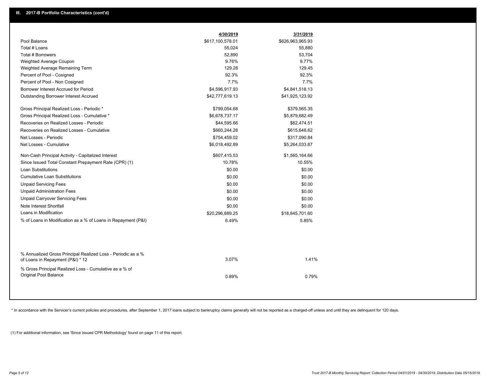|                                                                                                  | 4/30/2019        | 3/31/2019        |
|--------------------------------------------------------------------------------------------------|------------------|------------------|
| Pool Balance                                                                                     | \$617,100,578.01 | \$626,963,965.93 |
| Total # Loans                                                                                    | 55,024           | 55,880           |
| Total # Borrowers                                                                                | 52,890           | 53,704           |
| Weighted Average Coupon                                                                          | 9.76%            | 9.77%            |
| Weighted Average Remaining Term                                                                  | 129.28           | 129.45           |
| Percent of Pool - Cosigned                                                                       | 92.3%            | 92.3%            |
| Percent of Pool - Non Cosigned                                                                   | 7.7%             | 7.7%             |
| Borrower Interest Accrued for Period                                                             | \$4,596,917.93   | \$4,841,518.13   |
| Outstanding Borrower Interest Accrued                                                            | \$42,777,619.13  | \$41,925,123.92  |
| Gross Principal Realized Loss - Periodic *                                                       | \$799,054.68     | \$379,565.35     |
| Gross Principal Realized Loss - Cumulative *                                                     | \$6,678,737.17   | \$5,879,682.49   |
| Recoveries on Realized Losses - Periodic                                                         | \$44,595.66      | \$62,474.51      |
| Recoveries on Realized Losses - Cumulative                                                       | \$660,244.28     | \$615,648.62     |
| Net Losses - Periodic                                                                            | \$754,459.02     | \$317,090.84     |
| Net Losses - Cumulative                                                                          | \$6,018,492.89   | \$5,264,033.87   |
| Non-Cash Principal Activity - Capitalized Interest                                               | \$607,415.53     | \$1,565,164.66   |
| Since Issued Total Constant Prepayment Rate (CPR) (1)                                            | 10.78%           | 10.55%           |
| <b>Loan Substitutions</b>                                                                        | \$0.00           | \$0.00           |
| <b>Cumulative Loan Substitutions</b>                                                             | \$0.00           | \$0.00           |
| <b>Unpaid Servicing Fees</b>                                                                     | \$0.00           | \$0.00           |
| <b>Unpaid Administration Fees</b>                                                                | \$0.00           | \$0.00           |
| <b>Unpaid Carryover Servicing Fees</b>                                                           | \$0.00           | \$0.00           |
| Note Interest Shortfall                                                                          | \$0.00           | \$0.00           |
| Loans in Modification                                                                            | \$20,296,889.25  | \$18,845,701.60  |
| % of Loans in Modification as a % of Loans in Repayment (P&I)                                    | 6.49%            | 5.85%            |
|                                                                                                  |                  |                  |
| % Annualized Gross Principal Realized Loss - Periodic as a %<br>of Loans in Repayment (P&I) * 12 | 3.07%            | 1.41%            |
| % Gross Principal Realized Loss - Cumulative as a % of                                           |                  |                  |
| Original Pool Balance                                                                            | 0.89%            | 0.79%            |
|                                                                                                  |                  |                  |

\* In accordance with the Servicer's current policies and procedures, after September 1, 2017 loans subject to bankruptcy claims generally will not be reported as a charged-off unless and until they are delinquent for 120 d

(1) For additional information, see 'Since Issued CPR Methodology' found on page 11 of this report.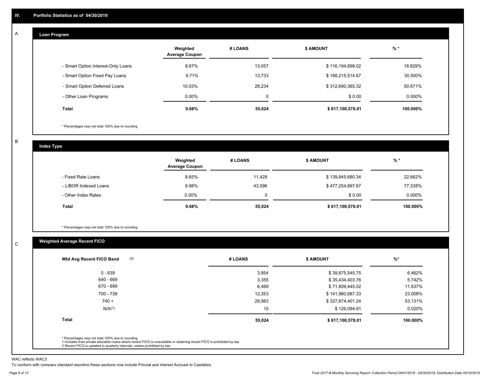#### **Loan Program**  A

|                                    | Weighted<br><b>Average Coupon</b> | # LOANS | <b>\$ AMOUNT</b> | $%$ *    |
|------------------------------------|-----------------------------------|---------|------------------|----------|
| - Smart Option Interest-Only Loans | 8.67%                             | 13.057  | \$116,194,698.02 | 18.829%  |
| - Smart Option Fixed Pay Loans     | 9.71%                             | 13,733  | \$188,215,514.67 | 30.500%  |
| - Smart Option Deferred Loans      | 10.03%                            | 28.234  | \$312,690,365.32 | 50.671%  |
| - Other Loan Programs              | $0.00\%$                          | 0       | \$0.00           | 0.000%   |
| <b>Total</b>                       | $9.68\%$                          | 55,024  | \$617,100,578.01 | 100.000% |

\* Percentages may not total 100% due to rounding

B

C

**Index Type**

|                       | Weighted<br><b>Average Coupon</b> | # LOANS | <b>\$ AMOUNT</b> | $%$ *    |
|-----------------------|-----------------------------------|---------|------------------|----------|
| - Fixed Rate Loans    | 8.65%                             | 11.428  | \$139,845,680.34 | 22.662%  |
| - LIBOR Indexed Loans | 9.98%                             | 43,596  | \$477,254,897.67 | 77.338%  |
| - Other Index Rates   | $0.00\%$                          | 0       | \$0.00           | 0.000%   |
| Total                 | 9.68%                             | 55,024  | \$617,100,578.01 | 100.000% |

\* Percentages may not total 100% due to rounding

### **Weighted Average Recent FICO**

| $0 - 639$<br>640 - 669<br>670 - 699 | 3,854<br>3,355<br>6,469 | \$39,875,545.75<br>\$35,434,403.76 | 6.462%<br>5.742% |
|-------------------------------------|-------------------------|------------------------------------|------------------|
|                                     |                         |                                    |                  |
|                                     |                         |                                    |                  |
|                                     |                         | \$71,809,445.02                    | 11.637%          |
| 700 - 739                           | 12,353                  | \$141,980,687.33                   | 23.008%          |
| $740 +$                             | 28,983                  | \$327,874,401.24                   | 53.131%          |
| N/A(1)                              | 10                      | \$126,094.91                       | 0.020%           |
| <b>Total</b>                        | 55,024                  | \$617,100,578.01                   | 100.000%         |

WAC reflects WAC3

To conform with company standard reporting these sections now include Princial and Interest Accrued to Capitalize.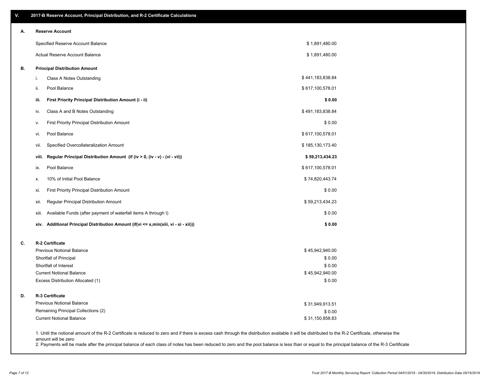| V. | 2017-B Reserve Account, Principal Distribution, and R-2 Certificate Calculations                                                                                                                   |                           |  |
|----|----------------------------------------------------------------------------------------------------------------------------------------------------------------------------------------------------|---------------------------|--|
| А. | <b>Reserve Account</b>                                                                                                                                                                             |                           |  |
|    | Specified Reserve Account Balance                                                                                                                                                                  | \$1,891,480.00            |  |
|    | Actual Reserve Account Balance                                                                                                                                                                     | \$1,891,480.00            |  |
| В. | <b>Principal Distribution Amount</b>                                                                                                                                                               |                           |  |
|    | Class A Notes Outstanding<br>i.                                                                                                                                                                    | \$441,183,838.84          |  |
|    | Pool Balance<br>ii.                                                                                                                                                                                | \$617,100,578.01          |  |
|    | First Priority Principal Distribution Amount (i - ii)<br>iii.                                                                                                                                      | \$0.00                    |  |
|    | Class A and B Notes Outstanding<br>iv.                                                                                                                                                             | \$491,183,838.84          |  |
|    | First Priority Principal Distribution Amount<br>ν.                                                                                                                                                 | \$0.00                    |  |
|    | Pool Balance<br>vi.                                                                                                                                                                                | \$617,100,578.01          |  |
|    | Specified Overcollateralization Amount<br>vii.                                                                                                                                                     | \$185,130,173.40          |  |
|    | Regular Principal Distribution Amount (if (iv > 0, (iv - v) - (vi - vii))<br>viii.                                                                                                                 | \$59,213,434.23           |  |
|    | Pool Balance<br>ix.                                                                                                                                                                                | \$617,100,578.01          |  |
|    | 10% of Initial Pool Balance<br>х.                                                                                                                                                                  | \$74,820,443.74           |  |
|    | First Priority Principal Distribution Amount<br>xi.                                                                                                                                                | \$0.00                    |  |
|    | Regular Principal Distribution Amount<br>xii.                                                                                                                                                      | \$59,213,434.23           |  |
|    | Available Funds (after payment of waterfall items A through I)<br>xiii.                                                                                                                            | \$0.00                    |  |
|    | xiv. Additional Principal Distribution Amount (if(vi <= x,min(xiii, vi - xi - xii)))                                                                                                               | \$0.00                    |  |
| C. | R-2 Certificate                                                                                                                                                                                    |                           |  |
|    | Previous Notional Balance                                                                                                                                                                          | \$45,942,940.00           |  |
|    | Shortfall of Principal                                                                                                                                                                             | \$0.00                    |  |
|    | Shortfall of Interest                                                                                                                                                                              | \$0.00                    |  |
|    | <b>Current Notional Balance</b><br>Excess Distribution Allocated (1)                                                                                                                               | \$45,942,940.00<br>\$0.00 |  |
| D. | <b>R-3 Certificate</b>                                                                                                                                                                             |                           |  |
|    | Previous Notional Balance                                                                                                                                                                          | \$31,949,913.51           |  |
|    | Remaining Principal Collections (2)                                                                                                                                                                | \$0.00                    |  |
|    | <b>Current Notional Balance</b>                                                                                                                                                                    | \$31,150,858.83           |  |
|    | 1. Until the notional amount of the R-2 Certificate is reduced to zero and if there is excess cash through the distribution available it will be distributed to the R-2 Certificate, otherwise the |                           |  |

amount will be zero

2. Payments will be made after the principal balance of each class of notes has been reduced to zero and the pool balance is less than or equal to the principal balance of the R-3 Certificate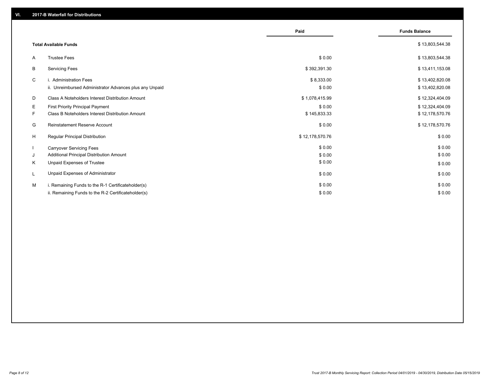|    |                                                         | Paid            | <b>Funds Balance</b> |
|----|---------------------------------------------------------|-----------------|----------------------|
|    | <b>Total Available Funds</b>                            |                 | \$13,803,544.38      |
|    |                                                         |                 |                      |
| A  | <b>Trustee Fees</b>                                     | \$0.00          | \$13,803,544.38      |
| В  | <b>Servicing Fees</b>                                   | \$392,391.30    | \$13,411,153.08      |
| C  | i. Administration Fees                                  | \$8,333.00      | \$13,402,820.08      |
|    | ii. Unreimbursed Administrator Advances plus any Unpaid | \$0.00          | \$13,402,820.08      |
| D  | Class A Noteholders Interest Distribution Amount        | \$1,078,415.99  | \$12,324,404.09      |
| E. | <b>First Priority Principal Payment</b>                 | \$0.00          | \$12,324,404.09      |
| F. | <b>Class B Noteholders Interest Distribution Amount</b> | \$145,833.33    | \$12,178,570.76      |
| G  | <b>Reinstatement Reserve Account</b>                    | \$0.00          | \$12,178,570.76      |
| H  | Regular Principal Distribution                          | \$12,178,570.76 | \$0.00               |
|    | <b>Carryover Servicing Fees</b>                         | \$0.00          | \$0.00               |
| J  | Additional Principal Distribution Amount                | \$0.00          | \$0.00               |
| Κ  | Unpaid Expenses of Trustee                              | \$0.00          | \$0.00               |
| L  | Unpaid Expenses of Administrator                        | \$0.00          | \$0.00               |
| м  | i. Remaining Funds to the R-1 Certificateholder(s)      | \$0.00          | \$0.00               |
|    | ii. Remaining Funds to the R-2 Certificateholder(s)     | \$0.00          | \$0.00               |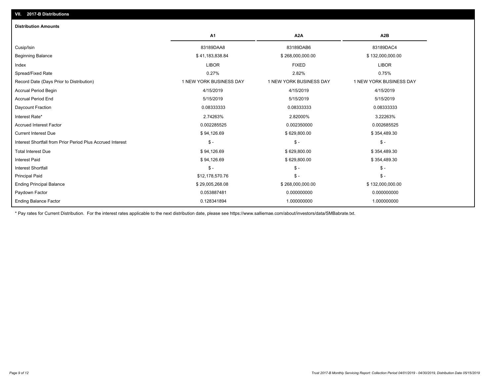| <b>Distribution Amounts</b>                                |                         |                         |                         |
|------------------------------------------------------------|-------------------------|-------------------------|-------------------------|
|                                                            | A1                      | A2A                     | A2B                     |
| Cusip/Isin                                                 | 83189DAA8               | 83189DAB6               | 83189DAC4               |
| <b>Beginning Balance</b>                                   | \$41,183,838.84         | \$268,000,000.00        | \$132,000,000.00        |
| Index                                                      | <b>LIBOR</b>            | <b>FIXED</b>            | <b>LIBOR</b>            |
| Spread/Fixed Rate                                          | 0.27%                   | 2.82%                   | 0.75%                   |
| Record Date (Days Prior to Distribution)                   | 1 NEW YORK BUSINESS DAY | 1 NEW YORK BUSINESS DAY | 1 NEW YORK BUSINESS DAY |
| <b>Accrual Period Begin</b>                                | 4/15/2019               | 4/15/2019               | 4/15/2019               |
| <b>Accrual Period End</b>                                  | 5/15/2019               | 5/15/2019               | 5/15/2019               |
| Daycount Fraction                                          | 0.08333333              | 0.08333333              | 0.08333333              |
| Interest Rate*                                             | 2.74263%                | 2.82000%                | 3.22263%                |
| <b>Accrued Interest Factor</b>                             | 0.002285525             | 0.002350000             | 0.002685525             |
| <b>Current Interest Due</b>                                | \$94,126.69             | \$629,800.00            | \$354,489.30            |
| Interest Shortfall from Prior Period Plus Accrued Interest | $$ -$                   | $\mathsf{\$}$ -         | $\mathsf{\$}$ -         |
| <b>Total Interest Due</b>                                  | \$94,126.69             | \$629,800.00            | \$354,489.30            |
| <b>Interest Paid</b>                                       | \$94,126.69             | \$629,800.00            | \$354,489.30            |
| Interest Shortfall                                         | $$ -$                   | $\mathsf{\$}$ -         | $$ -$                   |
| <b>Principal Paid</b>                                      | \$12,178,570.76         | $\mathsf{\$}$ -         | $$ -$                   |
| <b>Ending Principal Balance</b>                            | \$29,005,268.08         | \$268,000,000.00        | \$132,000,000.00        |
| Paydown Factor                                             | 0.053887481             | 0.000000000             | 0.000000000             |
| <b>Ending Balance Factor</b>                               | 0.128341894             | 1.000000000             | 1.000000000             |

\* Pay rates for Current Distribution. For the interest rates applicable to the next distribution date, please see https://www.salliemae.com/about/investors/data/SMBabrate.txt.

**VII. 2017-B Distributions**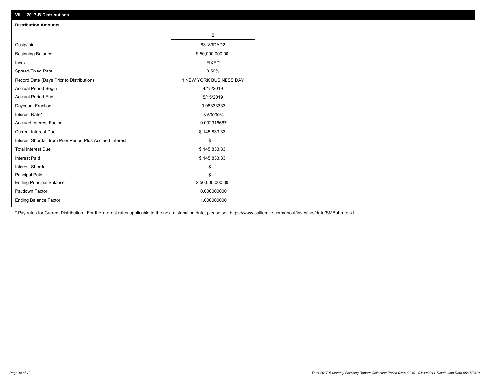| VII. 2017-B Distributions                                  |                         |
|------------------------------------------------------------|-------------------------|
| <b>Distribution Amounts</b>                                |                         |
|                                                            | в                       |
| Cusip/Isin                                                 | 83189DAD2               |
| <b>Beginning Balance</b>                                   | \$50,000,000.00         |
| Index                                                      | <b>FIXED</b>            |
| Spread/Fixed Rate                                          | 3.50%                   |
| Record Date (Days Prior to Distribution)                   | 1 NEW YORK BUSINESS DAY |
| Accrual Period Begin                                       | 4/15/2019               |
| <b>Accrual Period End</b>                                  | 5/15/2019               |
| Daycount Fraction                                          | 0.08333333              |
| Interest Rate*                                             | 3.50000%                |
| <b>Accrued Interest Factor</b>                             | 0.002916667             |
| <b>Current Interest Due</b>                                | \$145,833.33            |
| Interest Shortfall from Prior Period Plus Accrued Interest | $\frac{1}{2}$           |
| <b>Total Interest Due</b>                                  | \$145,833.33            |
| Interest Paid                                              | \$145,833.33            |
| Interest Shortfall                                         | $\frac{1}{2}$           |
| <b>Principal Paid</b>                                      | $\frac{1}{2}$           |
| <b>Ending Principal Balance</b>                            | \$50,000,000.00         |
| Paydown Factor                                             | 0.000000000             |
| Ending Balance Factor                                      | 1.000000000             |

\* Pay rates for Current Distribution. For the interest rates applicable to the next distribution date, please see https://www.salliemae.com/about/investors/data/SMBabrate.txt.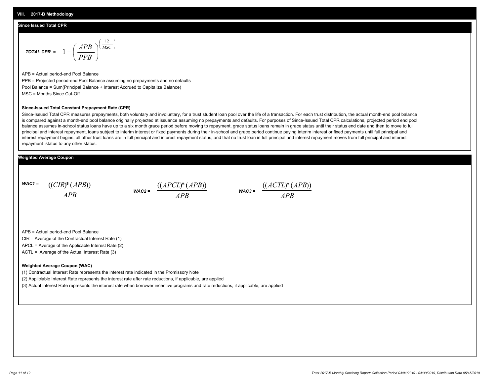#### **Since Issued Total CPR**

$$
\text{total CPR} = 1 - \left(\frac{APB}{PPB}\right)^{\left(\frac{12}{MSC}\right)}
$$

APB = Actual period-end Pool Balance PPB = Projected period-end Pool Balance assuming no prepayments and no defaults Pool Balance = Sum(Principal Balance + Interest Accrued to Capitalize Balance) MSC = Months Since Cut-Off

#### **Since-Issued Total Constant Prepayment Rate (CPR)**

Since-Issued Total CPR measures prepayments, both voluntary and involuntary, for a trust student loan pool over the life of a transaction. For each trust distribution, the actual month-end pool balance is compared against a month-end pool balance originally projected at issuance assuming no prepayments and defaults. For purposes of Since-Issued Total CPR calculations, projected period end pool balance assumes in-school status loans have up to a six month grace period before moving to repayment, grace status loans remain in grace status until their status end date and then to move to full principal and interest repayment, loans subject to interim interest or fixed payments during their in-school and grace period continue paying interim interest or fixed payments until full principal and interest repayment begins, all other trust loans are in full principal and interest repayment status, and that no trust loan in full principal and interest repayment moves from full principal and interest repayment status to any other status.

#### **Weighted Average Coupon**

*WAC1 = APB* ((*CIR*)\*(*APB*))

*WAC2 = APB*



APB = Actual period-end Pool Balance

CIR = Average of the Contractual Interest Rate (1)

APCL = Average of the Applicable Interest Rate (2)

ACTL = Average of the Actual Interest Rate (3)

#### **Weighted Average Coupon (WAC)**

(1) Contractual Interest Rate represents the interest rate indicated in the Promissory Note

(2) Appliclable Interest Rate represents the interest rate after rate reductions, if applicable, are applied

(3) Actual Interest Rate represents the interest rate when borrower incentive programs and rate reductions, if applicable, are applied